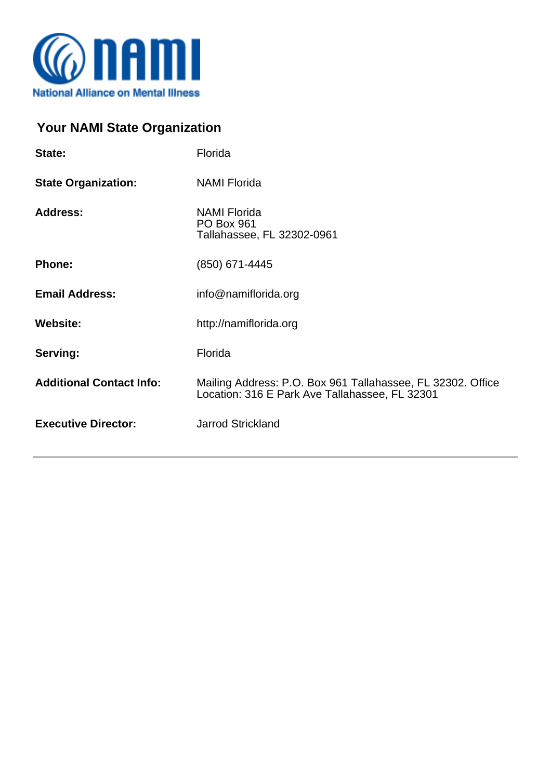

## **Your NAMI State Organization**

| State:                          | Florida                                                                                                       |
|---------------------------------|---------------------------------------------------------------------------------------------------------------|
| <b>State Organization:</b>      | <b>NAMI Florida</b>                                                                                           |
| <b>Address:</b>                 | <b>NAMI Florida</b><br><b>PO Box 961</b><br>Tallahassee, FL 32302-0961                                        |
| <b>Phone:</b>                   | (850) 671-4445                                                                                                |
| <b>Email Address:</b>           | info@namiflorida.org                                                                                          |
| <b>Website:</b>                 | http://namiflorida.org                                                                                        |
| Serving:                        | Florida                                                                                                       |
| <b>Additional Contact Info:</b> | Mailing Address: P.O. Box 961 Tallahassee, FL 32302. Office<br>Location: 316 E Park Ave Tallahassee, FL 32301 |
| <b>Executive Director:</b>      | <b>Jarrod Strickland</b>                                                                                      |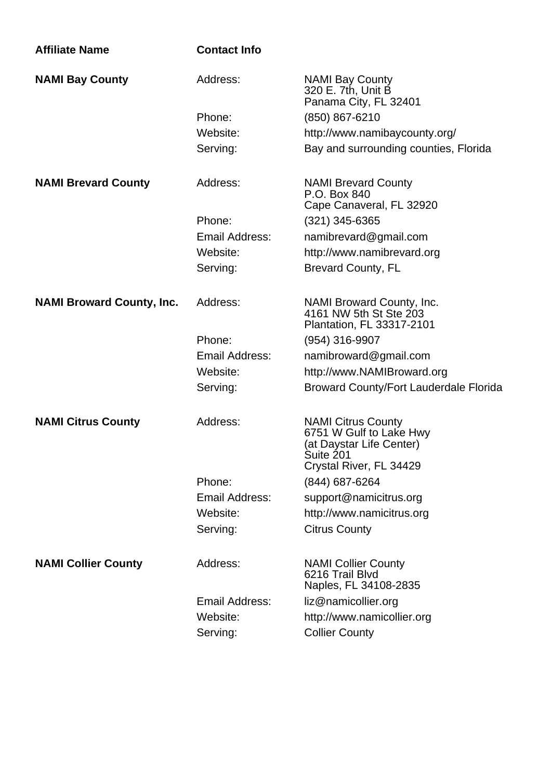| <b>Affiliate Name</b>            | <b>Contact Info</b>   |                                                                                                                          |
|----------------------------------|-----------------------|--------------------------------------------------------------------------------------------------------------------------|
| <b>NAMI Bay County</b>           | Address:              | <b>NAMI Bay County</b><br>320 E. 7th, Unit B<br>Panama City, FL 32401                                                    |
|                                  | Phone:                | (850) 867-6210                                                                                                           |
|                                  | Website:              | http://www.namibaycounty.org/                                                                                            |
|                                  | Serving:              | Bay and surrounding counties, Florida                                                                                    |
| <b>NAMI Brevard County</b>       | Address:              | <b>NAMI Brevard County</b><br>P.O. Box 840<br>Cape Canaveral, FL 32920                                                   |
|                                  | Phone:                | (321) 345-6365                                                                                                           |
|                                  | Email Address:        | namibrevard@gmail.com                                                                                                    |
|                                  | Website:              | http://www.namibrevard.org                                                                                               |
|                                  | Serving:              | <b>Brevard County, FL</b>                                                                                                |
| <b>NAMI Broward County, Inc.</b> | Address:              | NAMI Broward County, Inc.<br>4161 NW 5th St Ste 203<br>Plantation, FL 33317-2101                                         |
|                                  | Phone:                | (954) 316-9907                                                                                                           |
|                                  | Email Address:        | namibroward@gmail.com                                                                                                    |
|                                  | Website:              | http://www.NAMIBroward.org                                                                                               |
|                                  | Serving:              | <b>Broward County/Fort Lauderdale Florida</b>                                                                            |
| <b>NAMI Citrus County</b>        | Address:              | <b>NAMI Citrus County</b><br>6751 W Gulf to Lake Hwy<br>(at Daystar Life Center)<br>Suite 201<br>Crystal River, FL 34429 |
|                                  | Phone:                | (844) 687-6264                                                                                                           |
|                                  | <b>Email Address:</b> | support@namicitrus.org                                                                                                   |
|                                  | Website:              | http://www.namicitrus.org                                                                                                |
|                                  | Serving:              | <b>Citrus County</b>                                                                                                     |
| <b>NAMI Collier County</b>       | Address:              | <b>NAMI Collier County</b><br>6216 Trail Blvd<br>Naples, FL 34108-2835                                                   |
|                                  | Email Address:        | liz@namicollier.org                                                                                                      |
|                                  | Website:              | http://www.namicollier.org                                                                                               |
|                                  | Serving:              | <b>Collier County</b>                                                                                                    |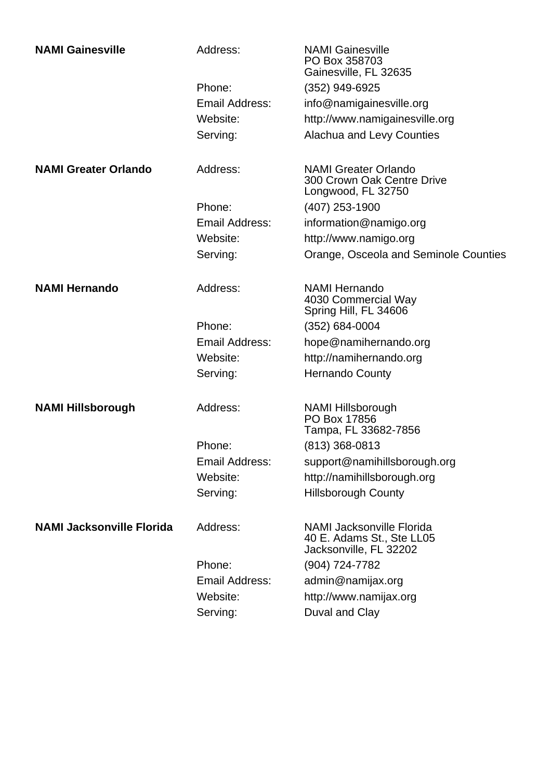| <b>NAMI Gainesville</b>          | Address:       | <b>NAMI Gainesville</b><br>PO Box 358703<br>Gainesville, FL 32635                       |
|----------------------------------|----------------|-----------------------------------------------------------------------------------------|
|                                  | Phone:         | (352) 949-6925                                                                          |
|                                  | Email Address: | info@namigainesville.org                                                                |
|                                  | Website:       | http://www.namigainesville.org                                                          |
|                                  | Serving:       | Alachua and Levy Counties                                                               |
| <b>NAMI Greater Orlando</b>      | Address:       | <b>NAMI Greater Orlando</b><br>300 Crown Oak Centre Drive<br>Longwood, FL 32750         |
|                                  | Phone:         | $(407)$ 253-1900                                                                        |
|                                  | Email Address: | information@namigo.org                                                                  |
|                                  | Website:       | http://www.namigo.org                                                                   |
|                                  | Serving:       | Orange, Osceola and Seminole Counties                                                   |
| <b>NAMI Hernando</b>             | Address:       | <b>NAMI Hernando</b><br>4030 Commercial Way<br>Spring Hill, FL 34606                    |
|                                  | Phone:         | $(352)$ 684-0004                                                                        |
|                                  | Email Address: | hope@namihernando.org                                                                   |
|                                  | Website:       | http://namihernando.org                                                                 |
|                                  | Serving:       | <b>Hernando County</b>                                                                  |
| <b>NAMI Hillsborough</b>         | Address:       | <b>NAMI Hillsborough</b><br>PO Box 17856<br>Tampa, FL 33682-7856                        |
|                                  | Phone:         | $(813)$ 368-0813                                                                        |
|                                  | Email Address: | support@namihillsborough.org                                                            |
|                                  | Website:       | http://namihillsborough.org                                                             |
|                                  | Serving:       | <b>Hillsborough County</b>                                                              |
| <b>NAMI Jacksonville Florida</b> | Address:       | <b>NAMI Jacksonville Florida</b><br>40 E. Adams St., Ste LL05<br>Jacksonville, FL 32202 |
|                                  | Phone:         | (904) 724-7782                                                                          |
|                                  | Email Address: | admin@namijax.org                                                                       |
|                                  | Website:       | http://www.namijax.org                                                                  |
|                                  | Serving:       | Duval and Clay                                                                          |
|                                  |                |                                                                                         |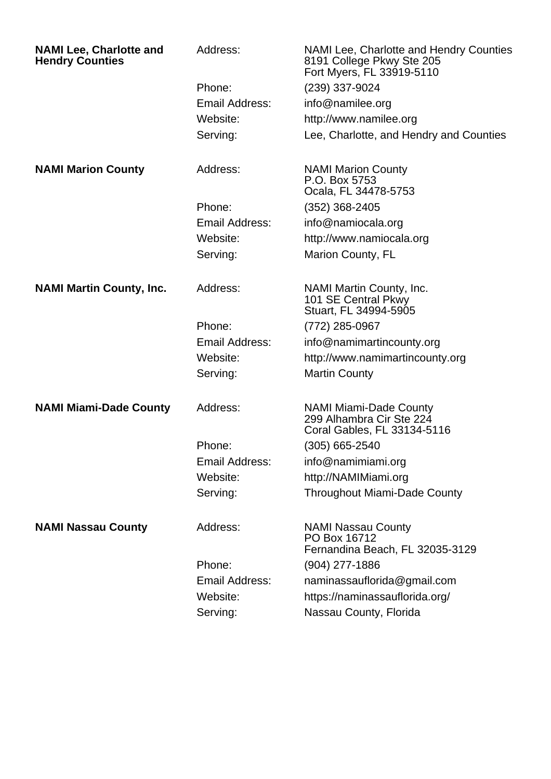| <b>NAMI Lee, Charlotte and</b><br><b>Hendry Counties</b> | Address:              | NAMI Lee, Charlotte and Hendry Counties<br>8191 College Pkwy Ste 205<br>Fort Myers, FL 33919-5110 |
|----------------------------------------------------------|-----------------------|---------------------------------------------------------------------------------------------------|
|                                                          | Phone:                | (239) 337-9024                                                                                    |
|                                                          | Email Address:        | info@namilee.org                                                                                  |
|                                                          | Website:              | http://www.namilee.org                                                                            |
|                                                          | Serving:              | Lee, Charlotte, and Hendry and Counties                                                           |
| <b>NAMI Marion County</b>                                | Address:              | <b>NAMI Marion County</b><br>P.O. Box 5753<br>Ocala, FL 34478-5753                                |
|                                                          | Phone:                | $(352)$ 368-2405                                                                                  |
|                                                          | Email Address:        | info@namiocala.org                                                                                |
|                                                          | Website:              | http://www.namiocala.org                                                                          |
|                                                          | Serving:              | Marion County, FL                                                                                 |
| <b>NAMI Martin County, Inc.</b>                          | Address:              | NAMI Martin County, Inc.<br>101 SE Central Pkwy<br>Stuart, FL 34994-5905                          |
|                                                          | Phone:                | (772) 285-0967                                                                                    |
|                                                          | Email Address:        | info@namimartincounty.org                                                                         |
|                                                          | Website:              | http://www.namimartincounty.org                                                                   |
|                                                          | Serving:              | <b>Martin County</b>                                                                              |
| <b>NAMI Miami-Dade County</b>                            | Address:              | <b>NAMI Miami-Dade County</b><br>299 Alhambra Cir Ste 224<br>Coral Gables, FL 33134-5116          |
|                                                          | Phone:                | (305) 665-2540                                                                                    |
|                                                          | Email Address:        | info@namimiami.org                                                                                |
|                                                          | Website:              | http://NAMIMiami.org                                                                              |
|                                                          | Serving:              | <b>Throughout Miami-Dade County</b>                                                               |
| <b>NAMI Nassau County</b>                                | Address:              | <b>NAMI Nassau County</b><br>PO Box 16712<br>Fernandina Beach, FL 32035-3129                      |
|                                                          | Phone:                | (904) 277-1886                                                                                    |
|                                                          | <b>Email Address:</b> | naminassauflorida@gmail.com                                                                       |
|                                                          | Website:              | https://naminassauflorida.org/                                                                    |
|                                                          | Serving:              | Nassau County, Florida                                                                            |
|                                                          |                       |                                                                                                   |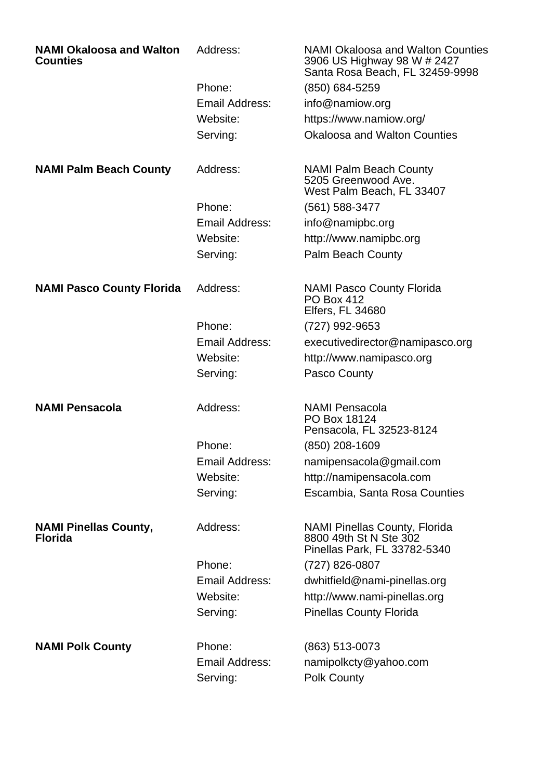| <b>NAMI Okaloosa and Walton</b><br><b>Counties</b> | Address:              | <b>NAMI Okaloosa and Walton Counties</b><br>3906 US Highway 98 W # 2427<br>Santa Rosa Beach, FL 32459-9998 |
|----------------------------------------------------|-----------------------|------------------------------------------------------------------------------------------------------------|
|                                                    | Phone:                | (850) 684-5259                                                                                             |
|                                                    | Email Address:        | info@namiow.org                                                                                            |
|                                                    | Website:              | https://www.namiow.org/                                                                                    |
|                                                    | Serving:              | <b>Okaloosa and Walton Counties</b>                                                                        |
| <b>NAMI Palm Beach County</b>                      | Address:              | <b>NAMI Palm Beach County</b><br>5205 Greenwood Ave.<br>West Palm Beach, FL 33407                          |
|                                                    | Phone:                | (561) 588-3477                                                                                             |
|                                                    | Email Address:        | info@namipbc.org                                                                                           |
|                                                    | Website:              | http://www.namipbc.org                                                                                     |
|                                                    | Serving:              | <b>Palm Beach County</b>                                                                                   |
| <b>NAMI Pasco County Florida</b>                   | Address:              | <b>NAMI Pasco County Florida</b><br><b>PO Box 412</b><br><b>Elfers, FL 34680</b>                           |
|                                                    | Phone:                | (727) 992-9653                                                                                             |
|                                                    | Email Address:        | executivedirector@namipasco.org                                                                            |
|                                                    | Website:              | http://www.namipasco.org                                                                                   |
|                                                    | Serving:              | Pasco County                                                                                               |
| <b>NAMI Pensacola</b>                              | Address:              | <b>NAMI Pensacola</b><br>PO Box 18124<br>Pensacola, FL 32523-8124                                          |
|                                                    | Phone:                | (850) 208-1609                                                                                             |
|                                                    | <b>Email Address:</b> | namipensacola@gmail.com                                                                                    |
|                                                    | Website:              | http://namipensacola.com                                                                                   |
|                                                    | Serving:              | Escambia, Santa Rosa Counties                                                                              |
| <b>NAMI Pinellas County,</b><br><b>Florida</b>     | Address:              | <b>NAMI Pinellas County, Florida</b><br>8800 49th St N Ste 302<br>Pinellas Park, FL 33782-5340             |
|                                                    | Phone:                | (727) 826-0807                                                                                             |
|                                                    | <b>Email Address:</b> | dwhitfield@nami-pinellas.org                                                                               |
|                                                    | Website:              | http://www.nami-pinellas.org                                                                               |
|                                                    | Serving:              | <b>Pinellas County Florida</b>                                                                             |
| <b>NAMI Polk County</b>                            | Phone:                | (863) 513-0073                                                                                             |
|                                                    | Email Address:        | namipolkcty@yahoo.com                                                                                      |
|                                                    | Serving:              | <b>Polk County</b>                                                                                         |
|                                                    |                       |                                                                                                            |